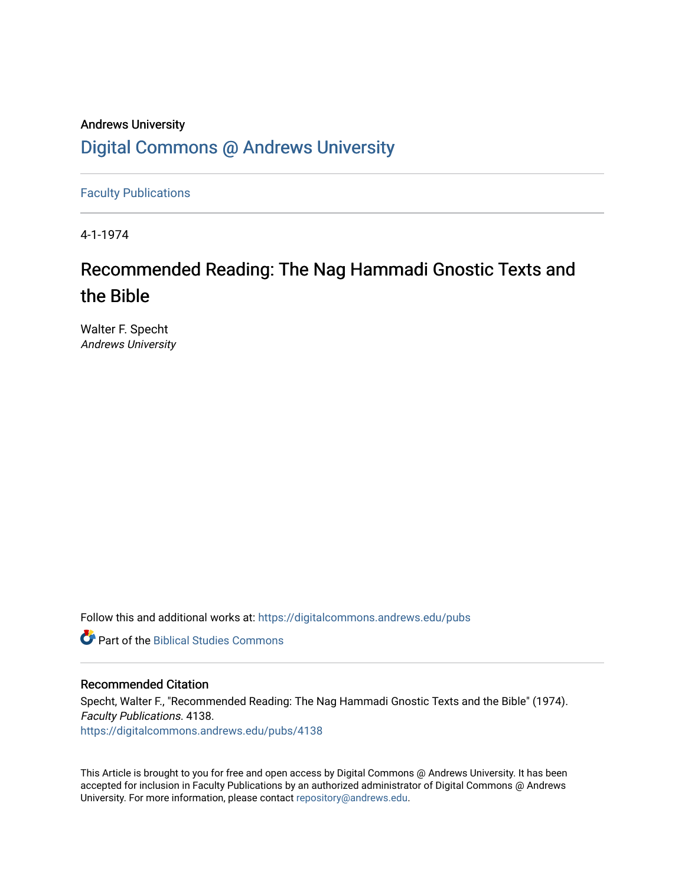### Andrews University [Digital Commons @ Andrews University](https://digitalcommons.andrews.edu/)

[Faculty Publications](https://digitalcommons.andrews.edu/pubs)

4-1-1974

## Recommended Reading: The Nag Hammadi Gnostic Texts and the Bible

Walter F. Specht Andrews University

Follow this and additional works at: [https://digitalcommons.andrews.edu/pubs](https://digitalcommons.andrews.edu/pubs?utm_source=digitalcommons.andrews.edu%2Fpubs%2F4138&utm_medium=PDF&utm_campaign=PDFCoverPages) 

**C** Part of the Biblical Studies Commons

#### Recommended Citation

Specht, Walter F., "Recommended Reading: The Nag Hammadi Gnostic Texts and the Bible" (1974). Faculty Publications. 4138. [https://digitalcommons.andrews.edu/pubs/4138](https://digitalcommons.andrews.edu/pubs/4138?utm_source=digitalcommons.andrews.edu%2Fpubs%2F4138&utm_medium=PDF&utm_campaign=PDFCoverPages) 

This Article is brought to you for free and open access by Digital Commons @ Andrews University. It has been accepted for inclusion in Faculty Publications by an authorized administrator of Digital Commons @ Andrews University. For more information, please contact [repository@andrews.edu](mailto:repository@andrews.edu).